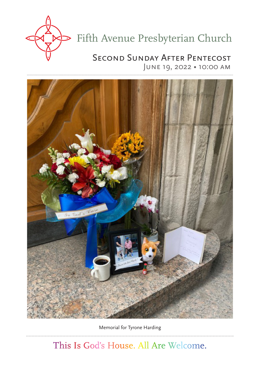

# Fifth Avenue Presbyterian Church

# Second Sunday After Pentecost June 19, 2022 • 10:00 am

**Charles Company** 

Memorial for Tyrone Harding

This Is God's House. All Are Welcome.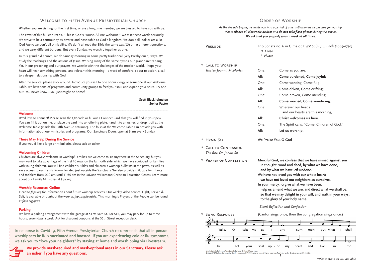# Welcome to Fifth Avenue Presbyterian Church Order of Worship

Whether you are visiting for the first time, or are a longtime member, we are blessed to have you with us.

The cover of this bulletin reads, "This Is God's House. All Are Welcome." We take these words seriously. We strive to be a community as diverse and hospitable as God's kingdom. We don't all look or act alike; God *knows* we don't all think alike. We don't all read the Bible the same way. We bring different questions, and we carry different burdens. But every Sunday, we worship together as one.

In this grand old church, we do Sunday morning in some pretty traditional (very Presbyterian) ways. We study the teachings and the actions of Jesus. We sing many of the same hymns our grandparents sang. Yet, in our preaching and our prayers, we wrestle with the challenges of the modern world. I hope your heart will hear something personal and relevant this morning—a word of comfort, a spur to action, a call to a deeper relationship with God.

After the service, please stick around. Introduce yourself to one of our clergy or someone at our Welcome Table. We have tons of programs and community groups to feed your soul and expand your spirit. Try one out. You never know—you just might be home!

> **Scott Black Johnston Senior Pastor**

#### **Welcome**

We'd love to connect! Please scan the QR code or fill out a Connect Card that you will find in your pew. You can fill it out online, or place the card into an offering plate, hand it to an usher, or drop it off at the Welcome Table (inside the Fifth Avenue entrance). The folks at the Welcome Table can provide you with information about our ministries and programs. Our Sanctuary Doors open at 9 am every Sunday.

#### **These May Help During the Service**

If you would like a large-print bulletin, please ask an usher.

#### **Welcoming Children**

Children are always welcome in worship! Families are welcome to sit anywhere in the Sanctuary, but you may want to take advantage of the first 10 rows on the far north side, which we have equipped for families with young children. You will find children's Bibles and children's worship bulletins in the pews, as well as easy access to our Family Room, located just outside the Sanctuary. We also provide childcare for infants and toddlers from 9:30 am until 11:30 am in the LaDane Williamson Christian Education Center. Learn more about our Family Ministries at *fapc.org.*

#### **Worship Resources Online**

Head to *fapc.org* for information about future worship services. Our weekly video service, Light, Leaven & Salt, is available throughout the week at *fapc.org/worship*. This morning's Prayers of the People can be found at *fapc.org/pray.*

#### **Parking**

We have a parking arrangement with the garage at 51 W. 56th St. For \$16, you may park for up to three hours, seven days a week. Ask for discount coupons at the 55th Street reception desk.

In response to Covid-19, Fifth Avenue Presbyterian Church recommends that **all in-person worshippers be fully vaccinated and boosted. If you are experiencing cold or flu symptoms, we ask you to "love your neighbors" by staying at home and worshipping via Livestream.**

**We provide mask-required and mask-optional areas in our Sanctuary. Please ask an usher if you have any questions.**

#### *As the Prelude begins, we invite you into a period of quiet reflection as we prepare for worship. Please silence all electronic devices and do not take flash photos during the service. We ask that you properly wear a mask at all times.*

| * CALL TO WORSHIP<br>Trustee Joanna McNurlen<br>Come as you are.<br>One:<br>All:<br>Come burdened, Come joyful;<br>Come wanting, Come full;<br>One:<br>All:<br>Come driven, Come drifting;<br>One:<br>Come broken, Come mending;<br>All:<br>Come worried, Come wondering.<br>Wherever our heads<br>One:<br>and our hearts are this morning,<br>All:<br>Christ welcomes us here.<br>The Spirit calls: "Come, Children of God."<br>One:<br>All:<br>Let us worship!<br>We Praise You, O God<br>$*$ Hymn 612<br>* CALL TO CONFESSION<br>The Rev. Dr. Jonah So<br>Merciful God, we confess that we have sinned against you<br>* PRAYER OF CONFESSION<br>in thought, word and deed, by what we have done,<br>and by what we have left undone.<br>We have not loved you with our whole heart;<br>we have not loved our neighbors as ourselves.<br>In your mercy, forgive what we have been,<br>help us amend what we are, and direct what we shall be,<br>so that we may delight in your will, and walk in your ways,<br>to the glory of your holy name.<br>Silent Reflection and Confession<br>(Cantor sings once; then the congregation sings once.)<br>*<br><b>SUNG RESPONSE</b><br>Take,<br>O<br>take me<br>out what<br>as<br>am;<br>sum - mon<br>live<br>be;<br>and<br>set<br>your<br>seal<br>heart<br>in<br>up - on<br>my | II. Lento<br>I. Vivace | Trio Sonata no. 6 in G major, BWV 530 · J.S. Bach (1685-1750) |
|--------------------------------------------------------------------------------------------------------------------------------------------------------------------------------------------------------------------------------------------------------------------------------------------------------------------------------------------------------------------------------------------------------------------------------------------------------------------------------------------------------------------------------------------------------------------------------------------------------------------------------------------------------------------------------------------------------------------------------------------------------------------------------------------------------------------------------------------------------------------------------------------------------------------------------------------------------------------------------------------------------------------------------------------------------------------------------------------------------------------------------------------------------------------------------------------------------------------------------------------------------------------------------------------------------------------------|------------------------|---------------------------------------------------------------|
|                                                                                                                                                                                                                                                                                                                                                                                                                                                                                                                                                                                                                                                                                                                                                                                                                                                                                                                                                                                                                                                                                                                                                                                                                                                                                                                          |                        |                                                               |
|                                                                                                                                                                                                                                                                                                                                                                                                                                                                                                                                                                                                                                                                                                                                                                                                                                                                                                                                                                                                                                                                                                                                                                                                                                                                                                                          |                        |                                                               |
|                                                                                                                                                                                                                                                                                                                                                                                                                                                                                                                                                                                                                                                                                                                                                                                                                                                                                                                                                                                                                                                                                                                                                                                                                                                                                                                          |                        |                                                               |
|                                                                                                                                                                                                                                                                                                                                                                                                                                                                                                                                                                                                                                                                                                                                                                                                                                                                                                                                                                                                                                                                                                                                                                                                                                                                                                                          |                        |                                                               |
|                                                                                                                                                                                                                                                                                                                                                                                                                                                                                                                                                                                                                                                                                                                                                                                                                                                                                                                                                                                                                                                                                                                                                                                                                                                                                                                          |                        |                                                               |
|                                                                                                                                                                                                                                                                                                                                                                                                                                                                                                                                                                                                                                                                                                                                                                                                                                                                                                                                                                                                                                                                                                                                                                                                                                                                                                                          |                        |                                                               |
|                                                                                                                                                                                                                                                                                                                                                                                                                                                                                                                                                                                                                                                                                                                                                                                                                                                                                                                                                                                                                                                                                                                                                                                                                                                                                                                          |                        |                                                               |
|                                                                                                                                                                                                                                                                                                                                                                                                                                                                                                                                                                                                                                                                                                                                                                                                                                                                                                                                                                                                                                                                                                                                                                                                                                                                                                                          |                        |                                                               |
|                                                                                                                                                                                                                                                                                                                                                                                                                                                                                                                                                                                                                                                                                                                                                                                                                                                                                                                                                                                                                                                                                                                                                                                                                                                                                                                          |                        |                                                               |
|                                                                                                                                                                                                                                                                                                                                                                                                                                                                                                                                                                                                                                                                                                                                                                                                                                                                                                                                                                                                                                                                                                                                                                                                                                                                                                                          |                        |                                                               |
|                                                                                                                                                                                                                                                                                                                                                                                                                                                                                                                                                                                                                                                                                                                                                                                                                                                                                                                                                                                                                                                                                                                                                                                                                                                                                                                          |                        |                                                               |
|                                                                                                                                                                                                                                                                                                                                                                                                                                                                                                                                                                                                                                                                                                                                                                                                                                                                                                                                                                                                                                                                                                                                                                                                                                                                                                                          |                        |                                                               |
|                                                                                                                                                                                                                                                                                                                                                                                                                                                                                                                                                                                                                                                                                                                                                                                                                                                                                                                                                                                                                                                                                                                                                                                                                                                                                                                          |                        |                                                               |
|                                                                                                                                                                                                                                                                                                                                                                                                                                                                                                                                                                                                                                                                                                                                                                                                                                                                                                                                                                                                                                                                                                                                                                                                                                                                                                                          |                        |                                                               |
|                                                                                                                                                                                                                                                                                                                                                                                                                                                                                                                                                                                                                                                                                                                                                                                                                                                                                                                                                                                                                                                                                                                                                                                                                                                                                                                          |                        |                                                               |
|                                                                                                                                                                                                                                                                                                                                                                                                                                                                                                                                                                                                                                                                                                                                                                                                                                                                                                                                                                                                                                                                                                                                                                                                                                                                                                                          |                        |                                                               |
|                                                                                                                                                                                                                                                                                                                                                                                                                                                                                                                                                                                                                                                                                                                                                                                                                                                                                                                                                                                                                                                                                                                                                                                                                                                                                                                          |                        |                                                               |
|                                                                                                                                                                                                                                                                                                                                                                                                                                                                                                                                                                                                                                                                                                                                                                                                                                                                                                                                                                                                                                                                                                                                                                                                                                                                                                                          |                        |                                                               |
|                                                                                                                                                                                                                                                                                                                                                                                                                                                                                                                                                                                                                                                                                                                                                                                                                                                                                                                                                                                                                                                                                                                                                                                                                                                                                                                          |                        |                                                               |
|                                                                                                                                                                                                                                                                                                                                                                                                                                                                                                                                                                                                                                                                                                                                                                                                                                                                                                                                                                                                                                                                                                                                                                                                                                                                                                                          |                        | shall                                                         |
|                                                                                                                                                                                                                                                                                                                                                                                                                                                                                                                                                                                                                                                                                                                                                                                                                                                                                                                                                                                                                                                                                                                                                                                                                                                                                                                          |                        |                                                               |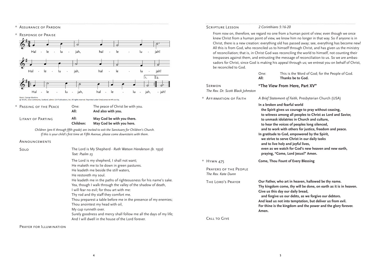| * ASSURANCE OF PARDON                                                                                                                                                                                                                                                                                                                                                                                          |                                                                                                                                                                                                                                                                                                                                                                                                                                 | <b>SCRIPTURE LESSON</b>                                          |                                                                                                                                                                                                                       | 2 Corinthians 5:16-20                                                                                                                                                                                                                                                                                                                                                                                                                                                                                                                                                                                                                                                                                         |
|----------------------------------------------------------------------------------------------------------------------------------------------------------------------------------------------------------------------------------------------------------------------------------------------------------------------------------------------------------------------------------------------------------------|---------------------------------------------------------------------------------------------------------------------------------------------------------------------------------------------------------------------------------------------------------------------------------------------------------------------------------------------------------------------------------------------------------------------------------|------------------------------------------------------------------|-----------------------------------------------------------------------------------------------------------------------------------------------------------------------------------------------------------------------|---------------------------------------------------------------------------------------------------------------------------------------------------------------------------------------------------------------------------------------------------------------------------------------------------------------------------------------------------------------------------------------------------------------------------------------------------------------------------------------------------------------------------------------------------------------------------------------------------------------------------------------------------------------------------------------------------------------|
| $\star$<br>RESPONSE OF PRAISE<br>Hal<br>le<br>lu<br>$\sim$<br>$\sim$                                                                                                                                                                                                                                                                                                                                           | jah,<br>hal<br>jah!<br>le<br>lul<br>$\sim$<br>$\sim$                                                                                                                                                                                                                                                                                                                                                                            | be reconciled to God.                                            |                                                                                                                                                                                                                       | From now on, therefore, we regard no one from a human point of view; even though we once<br>knew Christ from a human point of view, we know him no longer in that way. So if anyone is in<br>Christ, there is a new creation: everything old has passed away; see, everything has become new!<br>All this is from God, who reconciled us to himself through Christ, and has given us the ministry<br>of reconciliation; that is, in Christ God was reconciling the world to himself, not counting their<br>trespasses against them, and entrusting the message of reconciliation to us. So we are ambas-<br>sadors for Christ, since God is making his appeal through us; we entreat you on behalf of Christ, |
| lu<br>Hal<br>le                                                                                                                                                                                                                                                                                                                                                                                                | jah,<br>hal<br>le<br>jah!<br>١٦.                                                                                                                                                                                                                                                                                                                                                                                                |                                                                  | One:<br>All:                                                                                                                                                                                                          | This is the Word of God; for the People of God.<br>Thanks be to God.                                                                                                                                                                                                                                                                                                                                                                                                                                                                                                                                                                                                                                          |
| Hal<br>le<br>$\sim$                                                                                                                                                                                                                                                                                                                                                                                            | jah,<br>hal<br>jah,<br>- jah!<br>le<br>lu<br>lu<br>$\sim$<br>$\sim$                                                                                                                                                                                                                                                                                                                                                             | <b>SERMON</b><br>The Rev. Dr. Scott Black Johnston               |                                                                                                                                                                                                                       | "The View From Here, Part XV"                                                                                                                                                                                                                                                                                                                                                                                                                                                                                                                                                                                                                                                                                 |
| Music: George Mxadana                                                                                                                                                                                                                                                                                                                                                                                          | © WGRG, Iona Community, Scotland, admin. GIA Publications, Inc. All rights reserved. Reprinted under OneLicense.net #A-721169.                                                                                                                                                                                                                                                                                                  | * AFFIRMATION OF FAITH                                           |                                                                                                                                                                                                                       | A Brief Statement of Faith, Presbyterian Church (USA)                                                                                                                                                                                                                                                                                                                                                                                                                                                                                                                                                                                                                                                         |
| PASSING OF THE PEACE<br>LITANY OF PARTING<br>ANNOUNCEMENTS<br>SOLO                                                                                                                                                                                                                                                                                                                                             | The peace of Christ be with you.<br>One:<br>All:<br>And also with you.<br>All:<br>May God be with you there.<br>Children:<br>May God be with you here.<br>Children (pre-K through fifth grade) are invited to exit the Sanctuary for Children's Church.<br>If this is your child's first time at Fifth Avenue, please come downstairs with them.<br>The Lord is My Shepherd · Ruth Watson Henderson (b. 1932)<br>Text: Psalm 23 |                                                                  |                                                                                                                                                                                                                       | In a broken and fearful world<br>the Spirit gives us courage to pray without ceasing,<br>to witness among all peoples to Christ as Lord and Savior,<br>to unmask idolatries in Church and culture,<br>to hear the voices of peoples long silenced,<br>and to work with others for justice, freedom and peace.<br>In gratitude to God, empowered by the Spirit,<br>we strive to serve Christ in our daily tasks<br>and to live holy and joyful lives,<br>even as we watch for God's new heaven and new earth,<br>praying, "Come, Lord Jesus!" Amen.                                                                                                                                                            |
|                                                                                                                                                                                                                                                                                                                                                                                                                | The Lord is my shepherd, I shall not want;                                                                                                                                                                                                                                                                                                                                                                                      | * HYMN 475                                                       |                                                                                                                                                                                                                       | Come, Thou Fount of Every Blessing                                                                                                                                                                                                                                                                                                                                                                                                                                                                                                                                                                                                                                                                            |
| He maketh me to lie down in green pastures.<br>He leadeth me beside the still waters,<br>He restoreth my soul.<br>He leadeth me in the paths of righteousness for his name's sake.<br>Yea, though I walk through the valley of the shadow of death,<br>I will fear no evil; for thou art with me:<br>Thy rod and thy staff they comfort me.<br>Thou preparest a table before me in the presence of my enemies; |                                                                                                                                                                                                                                                                                                                                                                                                                                 | PRAYERS OF THE PEOPLE<br>The Rev. Kate Dunn<br>THE LORD'S PRAYER | Our Father, who art in heaven, hallowed be thy name.<br>Thy kingdom come, thy will be done, on earth as it is in heaven.<br>Give us this day our daily bread,<br>and forgive us our debts, as we forgive our debtors. |                                                                                                                                                                                                                                                                                                                                                                                                                                                                                                                                                                                                                                                                                                               |
|                                                                                                                                                                                                                                                                                                                                                                                                                | Thou anointest my head with oil,<br>My cup runneth over.<br>Surely goodness and mercy shall follow me all the days of my life;<br>And I will dwell in the house of the Lord forever.                                                                                                                                                                                                                                            | <b>CALL TO GIVE</b>                                              | Amen.                                                                                                                                                                                                                 | And lead us not into temptation, but deliver us from evil.<br>For thine is the kingdom and the power and the glory forever.                                                                                                                                                                                                                                                                                                                                                                                                                                                                                                                                                                                   |

Prayer for Illumination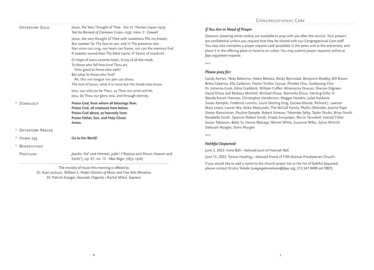|                                                                                                                                    | <b>OFFERTORY SOLO</b> | Jesus, the Very Thought of Thee · Eric H. Thiman (1900-1975)<br>Text by Bernard of Clairvaux (1090-1153), trans. E. Caswall                                                                                                                                          |
|------------------------------------------------------------------------------------------------------------------------------------|-----------------------|----------------------------------------------------------------------------------------------------------------------------------------------------------------------------------------------------------------------------------------------------------------------|
|                                                                                                                                    |                       | Jesus, the very thought of Thee with sweetness fills my breast;<br>But sweeter far Thy face to see, and in Thy presence rest.<br>Nor voice can sing, nor heart can frame, nor can the memory find<br>A sweeter sound than Thy blest name, O Savior of mankind.       |
|                                                                                                                                    |                       | O Hope of every contrite heart, O Joy of all the meek,<br>To those who fall how kind Thou art,<br>How good to those who seek!<br>But what to those who find?<br>Ah, this nor tongue nor pen can show;<br>The love of Jesus, what it is none but His loved ones know. |
|                                                                                                                                    |                       | Jesu, our only joy be Thou, as Thou our prize wilt be;<br>Jesu, be Thou our glory now, and through eternity.                                                                                                                                                         |
| $\star$                                                                                                                            | DOXOLOGY              | Praise God, from whom all blessings flow;<br>Praise God, all creatures here below;<br>Praise God above, ye heavenly host;<br>Praise Father, Son, and Holy Ghost.<br>Amen.                                                                                            |
|                                                                                                                                    | * OFFERTORY PRAYER    |                                                                                                                                                                                                                                                                      |
|                                                                                                                                    | * HYMN 295            | Go to the World!                                                                                                                                                                                                                                                     |
|                                                                                                                                    | * BENEDICTION         |                                                                                                                                                                                                                                                                      |
|                                                                                                                                    | <b>POSTLUDE</b>       | Jauchz, Erd' und Himmel, Juble! ("Rejoice and Shout, Heaven and<br>Earth"), op. 67, no. 15 · Max Reger (1873-1916)                                                                                                                                                   |
| The ministry of music this morning is offered by<br>Dr. Ryan Jackson, William S. Perper Director of Music and Fine Arts Ministries |                       |                                                                                                                                                                                                                                                                      |

### *If You Are in Need of Prayer*

Deacons (wearing white stoles) are available to pray with you after the service. Your prayers are confidential unless you request that they be shared with our Congregational Care staff. You may also complete a prayer request card (available in the pews and at the entrances) and place it in the offering plate or hand to an usher. You may submit prayer requests online at *fapc.org/prayer-requests*.

\*\*\*

#### *Please pray for:*

Candy Asman, Neta Beberino, Helen Betzaia, Becky Bjornstad, Benjamin Bradley, Bill Brown Britta Cabanos, Ella Calderon, Pastor Toribio Cajiuat, Phoebe Chiu, Sookjoong Choi Dr. Johanna Cook, Edna Craddock, William Cuffee, Athanassia Doucas, Sherian Edgreen David Elissa and Barbara Mitchell, Michael Elissa, Narmella Elissa, Sterling Gillis IV Wanda Roush Hannan, Christopher Henderson, Maggie Hendrix, Juliet Kaldanie Susan Kempler, Frederick Loomis, Louis Sterling King, Ceciwa Khonje, Richard J. Lawson Mary Lowry, Lauren Ma, Keiko Matsuzaki, The McCall Family, Phyllis Oblander, Jeanne Pape Dexter Ramcharan, Pauline Sample, Robert Scheuer, Tshombe Selby, Taylor Shultz, Brian Smith Rosabelle Smith, Spencer Robert Smith, Frieda Sompotan, Rocco Tannehill, Harold Tither Susan Tobiason, Betty Ty, Henny Waisapy, Warren White, Suzanne Wilks, Sylvia Winrich Deborah Wurgler, Doris Wurgler

\*\*\*

#### *Faithful Departed:*

June 2, 2022: Irene Bell—beloved aunt of Hannah Bell.

June 13, 2022: Tyrone Harding—beloved friend of Fifth Avenue Presbyterian Church.

If you would like to add a name to the church prayer list or the list of faithful departed, please contact Kristia Tolode (*congregationalcare@fapc.org,* 212.247.0490 ext 3007).

Dr. Patrick Kreeger, *Associate Organist •* Rachel Mikol, *Soprano*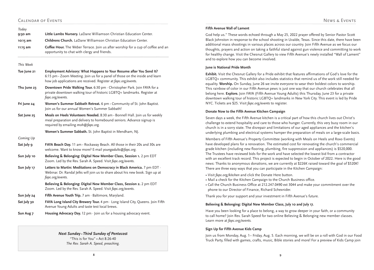# Calendar of Events

| Today       |                                                                                                                                                                                                                                                                                                                   |
|-------------|-------------------------------------------------------------------------------------------------------------------------------------------------------------------------------------------------------------------------------------------------------------------------------------------------------------------|
| 9:30 am     | Little Lambs Nursery. LaDane Williamson Christian Education Center.                                                                                                                                                                                                                                               |
| 10:15 am    | Childrens Church. LaDane Williamson Christian Education Center.                                                                                                                                                                                                                                                   |
| 11:15 am    | Coffee Hour. The Weber Terrace. Join us after worship for a cup of coffee and an<br>opportunity to chat with clergy and friends.                                                                                                                                                                                  |
| This Week   |                                                                                                                                                                                                                                                                                                                   |
| Tue June 21 | Employment Advisory: What Happens to Your Resume after You Send It?<br>6:15 pm $\cdot$ Zoom Meeting. Join us for a panel of those on the inside and learn<br>how job applications are received. Register at fapc.org/events.                                                                                      |
| Thu June 23 | Downtown Pride Walking Tour. 6:30 pm · Christopher Park. Join FAYA for a<br>private downtown walking tour of historic LGBTQ+ landmarks. Register at<br>fapc.org/events.                                                                                                                                           |
| Fri June 24 | Women's Summer Sabbath Retreat. 6 pm · Community of St. John Baptist.<br>Join us for our annual Women's Summer Sabbath!                                                                                                                                                                                           |
| Sat June 25 | Meals on Heels Volunteers Needed. 8:30 am · Bonnell Hall. Join us for weekly<br>meal preparation and delivery to homebound seniors. Advance signup is<br>required by emailing moh@fapc.org.                                                                                                                       |
|             | Women's Summer Sabbath. St. John Baptist in Mendham, NJ.                                                                                                                                                                                                                                                          |
| Coming Up   |                                                                                                                                                                                                                                                                                                                   |
| Sat July 9  | FAYA Beach Day. 11 am · Rockaway Beach. All those in their 20s and 30s are<br>welcome. Want to know more? E-mail youngadults@fapc.org.                                                                                                                                                                            |
| Sun July 10 | Believing & Belonging: Digital New Member Class, Session 1. 2 pm EDT<br>Zoom. Led by the Rev. Sarah A. Speed. Visit fapc.org/events.                                                                                                                                                                              |
| Sun July 17 | Letters to Martin: Meditations on Democracy in Black America. 7 pm EDT ·<br>Webinar. Dr. Randal Jelks will join us to share about his new book. Sign up at<br>fapc.org/events.                                                                                                                                    |
|             | Believing & Belonging: Digital New Member Class, Session 2. 2 pm EDT<br>Zoom. Led by the Rev. Sarah A. Speed. Visit fapc.org/events.                                                                                                                                                                              |
| Sun July 24 | Fifth Avenue Youth Trip. 7 am · Baltimore, Maryland.                                                                                                                                                                                                                                                              |
| Sat July 30 | FAYA Long Island City Brewery Tour. 4 pm · Long Island City, Queens. Join Fifth<br>Avenue Young Adults and taste test local brews.                                                                                                                                                                                |
|             | <b>If <math>\mathbf{r}</math></b> and $\mathbf{r}$ and $\mathbf{r}$ are $\mathbf{r}$ and $\mathbf{r}$ are $\mathbf{r}$ and $\mathbf{r}$ are $\mathbf{r}$ and $\mathbf{r}$ are $\mathbf{r}$ and $\mathbf{r}$ are $\mathbf{r}$ and $\mathbf{r}$ are $\mathbf{r}$ and $\mathbf{r}$ are $\mathbf{r}$ and $\mathbf{r}$ |

**Sun Aug 7 Housing Advocacy Day.** 12 pm  $\cdot$  Join us for a housing advocacy event.

#### *Next Sunday • Third Sunday of Pentecost* "This is for You" • Act 8:26-40

*The Rev. Sarah A. Speed, preaching.*

#### **Fifth Avenue Wall of Lament**

God help us." These words echoed through a May 25, 2022 prayer offered by Senior Pastor Scott Black Johnston in response to the school shooting in Uvalde, Texas. Since this date, there have been additional mass shootings in various places across our country. Join Fifth Avenue as we focus our thoughts, prayers and action on taking a faithful stand against gun violence and committing to work for healthy change. Visit the Chesnut Gallery to view Fifth Avenue's newly installed "Wall of Lament" and to explore how you can become involved.

#### **June is National Pride Month**

**Exhibit.** Visit the Chesnut Gallery for a Pride exhibit that features affirmations of God's love for the LGBTQ+ community. This exhibit also includes statistics that remind us of the work still needed for equality. **Worship.** On Sunday, June 26 we invite everyone to wear their boldest colors to worship. This rainbow of color in our Fifth Avenue pews is just one way that our church celebrates that all belong here. **Explore.** Join FAYA (Fifth Avenue Young Adults) this Thursday, June 23 for a private downtown walking tour of historic LGBTQ+ landmarks in New York City. This event is led by Pride NYC. Tickets are \$25. Visit *fapc.org/events* to register.

#### **Donate Now to the Fifth Avenue Kitchen Campaign**

Seven days a week, the Fifth Avenue kitchen is a critical part of how this church lives out Christ's challenge to extend hospitality and care to those who hunger. Currently, this very busy room in our church is in a sorry state. The disrepair and limitations of our aged appliances and the kitchen's underlying plumbing and electrical systems hamper the preparation of meals on a large-scale basis.

Members of Fifth Avenue's Property Committee (working with Meals on Heels and Roxo Events) have developed plans for a renovation. The estimated cost for renovating the church's commercial grade kitchen (including new flooring, plumbing, fire suppression and appliances) is \$520,000. The Trustees have reviewed bids for the work and have selected the lowest bid from a contractor with an excellent track record. This project is expected to begin in October of 2022. Here is the good news: Thanks to anonymous donations, we are currently at \$226K raised toward the goal of \$520K! There are three easy ways that you can participate in the Kitchen Campaign:

- Visit *fapc.org/kitchen* and click the Donate Here button.
- Mail a check for the Kitchen Campaign to the Church Business office.
- Call the Church Business Office at 212.247.0490 ext 3044 and make your commitment over the phone to our Director of Finance, Richard Schexnider.

Thank you for your support and your investment in Fifth Avenue's future.

#### **Believing & Belonging: Digital New Member Class, July 10 and July 17.**

Have you been looking for a place to belong, a way to grow deeper in your faith, or a community to call home? Join Rev. Sarah Speed for two online Believing & Belonging new member classes. Learn more at *fapc.org/events.* 

#### **Sign Up for Fifth Avenue Kids Camp**

Join us from Monday, Aug. 1– Friday, Aug. 5. Each morning, we will be on a roll with God in our Food Truck Party, filled with games, crafts, music, Bible stories and more! For a preview of Kids Camp join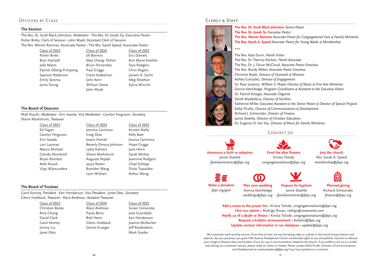## Officers by Class

#### **The Session**

The Rev. Dr. Scott Black Johnston, *Moderator* **⋅** The Rev. Dr. Jonah So, Executive Pastor Porter Binks, Clerk of Session **⋅** John Wyatt, Assistant Clerk of Session The Rev. Werner Ramirez, Associate Pastor **⋅** The Rev. Sarah Speed, Associate Pastor

| Class of 2023          |
|------------------------|
| Porter Binks           |
| Bryn Hartzell          |
| Jake Myers             |
| Patrick Obeng-Frimpong |
| Spencer Roberson       |
| Emily Sytsma           |
| Jama Toung             |
|                        |

Class of 2024 Jill Borrero Mae Cheng- PaVon Bruni Fernandez Paul Griggs Claire Kedeshian John Kern William Stone John Wyatt Class of 2025 Eric Daniels Ann Marie Koehler Sara Rodgers Chris Rogers Janeen A. Sarlin Meg Sheehan Sylvia Winrich

#### **The Board of Deacons**

Matt Roush, *Moderator* **⋅** Emi Iwaida, *Vice Moderator* **⋅** Carolyn Ferguson, *Secretary* Shane Markstrum, *Treasurer*

| Class of 2023     | Class of 2024          | Class of 2025    |
|-------------------|------------------------|------------------|
| Ed Fagan          | Jennica Carmona        | Kirsten Aiello   |
| Carolyn Ferguson  | Greg Dow               | Kelly Baer       |
| Emi Iwaida        | Joann Harrah           | Jessica Carmona  |
| Lori Lauman       | Beverly Elmyra Johnson | Hope Griggs      |
| Marco Michael     | Lydia Kalmen           | Jane Henn        |
| Glenda Moreland   | Shane Markstrum        | Sarah McKoy      |
| Bryan Rombot      | Auguste Nipabi         | Jeannine Rodgers |
| Matt Roush        | Joyce Nolen            | Chad Schepp      |
| Vijay Wijesundera | Branden Wang           | Dicky Tuwaidan   |
|                   | Lynn Wishart           | Arthur Wong      |

#### **The Board of Trustees**

Carol Kenney, *President* **⋅** Ken Henderson, *Vice President* **⋅** Janet Otto, *Secretary* Glenn Hubbard, *Treasurer* **⋅** Alyce Andrews, *Assistant Treasurer*

| Class of 2023    | Class of 2024  | Class of 2025   |
|------------------|----------------|-----------------|
| Christian Bailey | Alyce Andrews  | Susan Cersovsky |
| Amy Chung        | Paula Berry    | Jose Guardado   |
| David Clark      | Bob Henn       | Ken Henderson   |
| Carol Kenney     | Glenn Hubbard  | Joanna McNurlen |
| Jimmy Liu        | Daniel Krueger | Jeff Rowbottom  |
| Janet Otto       |                | Mark Snyder     |

### **CLERGY & STAFF**



**The Rev. Dr. Scott Black Johnston** *Senior Pastor* **The Rev. Dr. Jonah So** *Executive Pastor*  **The Rev. Werner Ramirez** *Associate Pastor for Congregational Care & Family Ministries* **The Rev. Sarah A. Speed** *Associate Pastor for Young Adults & Membership \*\*\**

# The Rev. Kate Dunn, *Parish Visitor*

The Rev. Dr. Patricia Kitchen, *Parish Associate* The Rev. Dr. J. Oscar McCloud, *Associate Pastor Emeritus* The Rev. Randy Weber, *Associate Pastor Emeritus* Christine Boyle, *Director of Outreach & Missions* Ashley Gonzalez, *Director of Engagement* Dr. Ryan Jackson, *William S. Perper Director of Music & Fine Arts Ministries* Donna Ketchledge, *Program Coordinator & Assistant to the Executive Pastor* Dr. Patrick Kreeger, *Associate Organist* Derek Maddalena, *Director of Facilities* Katherine Miller, *Executive Assistant to the Senior Pastor & Director of Special Projects* Kellie Picallo, *Director of Communications & Development*  Richard J. Schexnider, *Director of Finance* Jaime Staehle, *Director of Christian Education* Dr. Eugenia Oi Yan Yau, *Director of Music for Family Ministries* 

### CONTACT US

 $\triangleright$  $\overline{\mathbf{o}}$ **Announce a birth or adoption**  Jaime Staehle *familyministries@fapc.org*

**Fund the altar flowers**  Kristia Tolode *congregationalcare@fapc.org*

**Join the church** Rev. Sarah A. Speed *membership@fapc.org*



**Make a donation**  *fapc.org/give*

*weddings@fapc.org*

**Plan your wedding** Donna Ketchledge

**Prepare for baptism** Jaime Staehle *familyministries@fapc.org*

**Planned giving** Richard Schexnider *finance@fapc.org*

**Add a name to the prayer list** • Kristia Tolode, *congregationalcare@fapc.org* **Hire our caterer** • Rodrigo Rosas, *rodrigo@roxoevents.com* **Notify us of a death or illness** • Kristia Tolode, *congregationalcare@fapc.org* **Request a bulletin announcement** • *bulletin@fapc.org* **Update contact information in our database** *• update@fapc.org*

We Livestream each worship service. From time to time, we may be taking video or a photo in the church house (interior and exterior). By your presence, you grant Fifth Avenue Presbyterian Church unrestricted rights to use and publish, transmit or telecast your image or likeness that may be taken of you for use in communication related to the church. If you prefer to not sit in a visible area during our Livestream service, please notify an Usher or Greeter. Please contact Kellie Picallo, Director of Communications and Development at *communications@fapc.org* if you have questions or concerns.